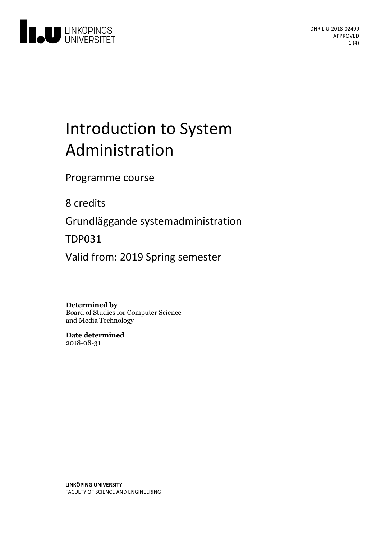

# Introduction to System Administration

Programme course

8 credits

Grundläggande systemadministration

TDP031

Valid from: 2019 Spring semester

#### **Determined by**

Board of Studies for Computer Science and Media Technology

**Date determined** 2018-08-31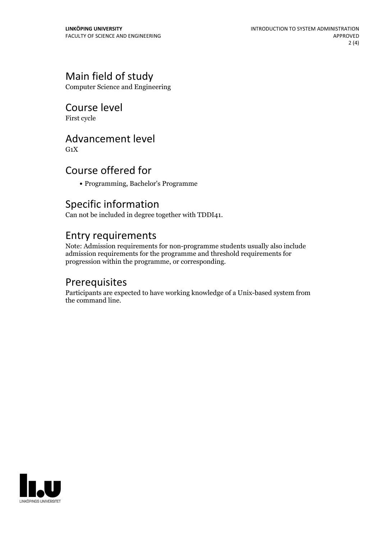#### Main field of study

Computer Science and Engineering

#### Course level

First cycle

#### Advancement level

 $G_1X$ 

#### Course offered for

Programming, Bachelor's Programme

#### Specific information

Can not be included in degree together with TDDI41.

#### Entry requirements

Note: Admission requirements for non-programme students usually also include admission requirements for the programme and threshold requirements for progression within the programme, or corresponding.

#### Prerequisites

Participants are expected to have working knowledge of a Unix-based system from the command line.

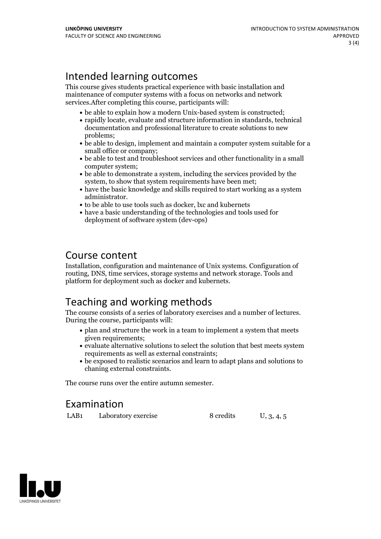#### Intended learning outcomes

This course gives students practical experience with basic installation and maintenance of computer systems with a focus on networks and network services.After completing this course, participants will:

- be able to explain how a modern Unix-based system is constructed:
- rapidly locate, evaluate and structure information in standards, technical documentation and professional literature to create solutions to new problems;
- be able to design, implement and maintain a computer system suitable for a small office or company;
- be able to test and troubleshoot services and other functionality in a small computer system;
- be able to demonstrate a system, including the services provided by the system, to show that system requirements have been met;
- have the basic knowledge and skills required to start working as a system administrator.<br>• to be able to use tools such as docker, lxc and kubernets
- 
- have a basic understanding of the technologies and tools used for deployment of software system (dev-ops)

#### Course content

Installation, configuration and maintenance of Unix systems. Configuration of routing, DNS, time services, storage systems and network storage. Tools and platform for deployment such as docker and kubernets.

#### Teaching and working methods

The course consists of <sup>a</sup> series of laboratory exercises and <sup>a</sup> number of lectures. During the course, participants will:

- plan and structure the work in a team to implement a system that meets given requirements;
- evaluate alternative solutions to select the solution that best meets system requirements as well as external constraints;
- be exposed to realistic scenarios and learn to adapt plans and solutions to chaning external constraints.

The course runs over the entire autumn semester.

#### Examination

LAB1 Laboratory exercise 8 credits U, 3, 4, 5